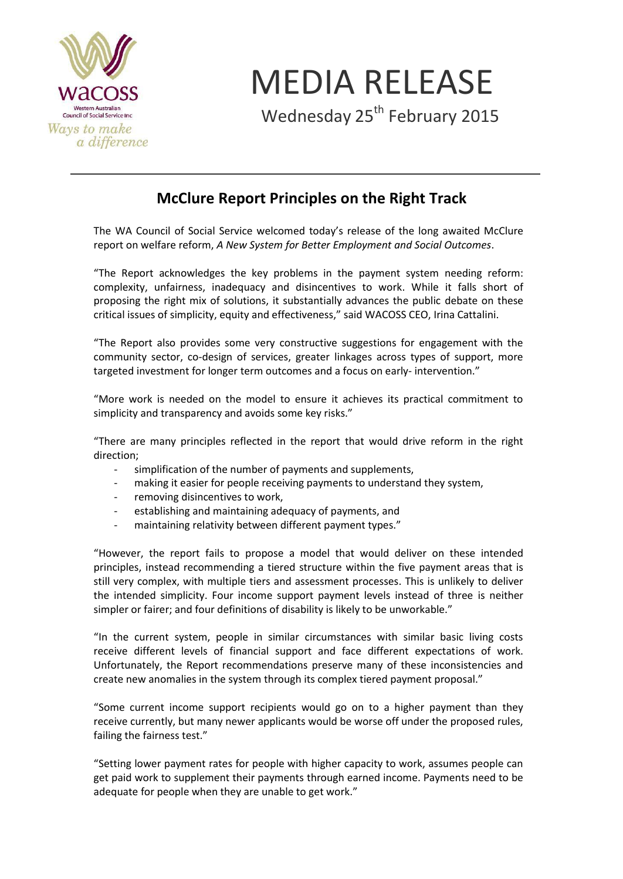

MEDIA RELEASE

Wednesday 25<sup>th</sup> February 2015

## **McClure Report Principles on the Right Track**

The WA Council of Social Service welcomed today's release of the long awaited McClure report on welfare reform, *A New System for Better Employment and Social Outcomes*.

"The Report acknowledges the key problems in the payment system needing reform: complexity, unfairness, inadequacy and disincentives to work. While it falls short of proposing the right mix of solutions, it substantially advances the public debate on these critical issues of simplicity, equity and effectiveness," said WACOSS CEO, Irina Cattalini.

"The Report also provides some very constructive suggestions for engagement with the community sector, co-design of services, greater linkages across types of support, more targeted investment for longer term outcomes and a focus on early- intervention."

"More work is needed on the model to ensure it achieves its practical commitment to simplicity and transparency and avoids some key risks."

"There are many principles reflected in the report that would drive reform in the right direction;

- simplification of the number of payments and supplements,
- making it easier for people receiving payments to understand they system,
- removing disincentives to work,
- establishing and maintaining adequacy of payments, and
- maintaining relativity between different payment types."

"However, the report fails to propose a model that would deliver on these intended principles, instead recommending a tiered structure within the five payment areas that is still very complex, with multiple tiers and assessment processes. This is unlikely to deliver the intended simplicity. Four income support payment levels instead of three is neither simpler or fairer; and four definitions of disability is likely to be unworkable."

"In the current system, people in similar circumstances with similar basic living costs receive different levels of financial support and face different expectations of work. Unfortunately, the Report recommendations preserve many of these inconsistencies and create new anomalies in the system through its complex tiered payment proposal."

"Some current income support recipients would go on to a higher payment than they receive currently, but many newer applicants would be worse off under the proposed rules, failing the fairness test."

"Setting lower payment rates for people with higher capacity to work, assumes people can get paid work to supplement their payments through earned income. Payments need to be adequate for people when they are unable to get work."